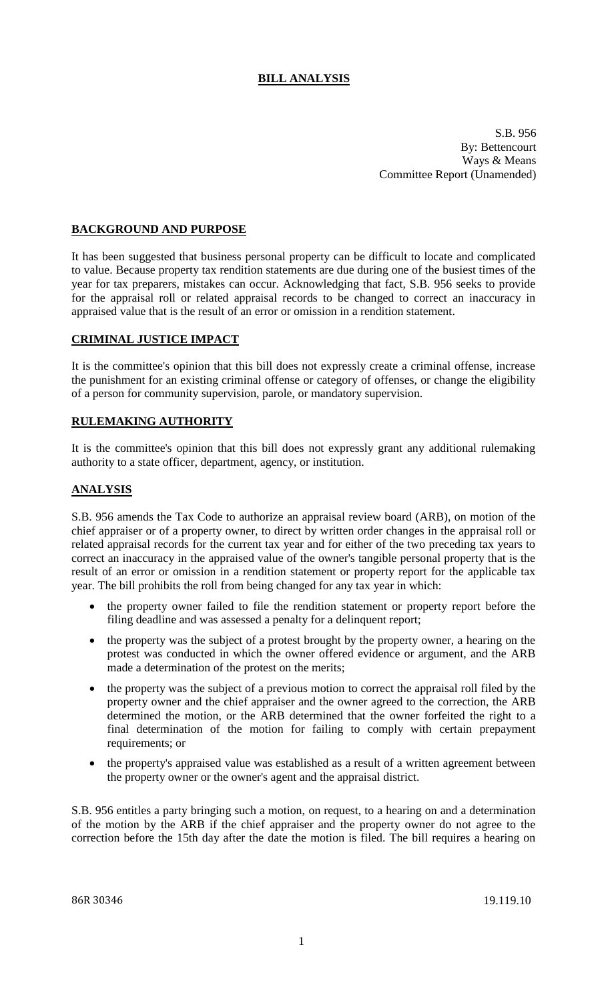# **BILL ANALYSIS**

S.B. 956 By: Bettencourt Ways & Means Committee Report (Unamended)

## **BACKGROUND AND PURPOSE**

It has been suggested that business personal property can be difficult to locate and complicated to value. Because property tax rendition statements are due during one of the busiest times of the year for tax preparers, mistakes can occur. Acknowledging that fact, S.B. 956 seeks to provide for the appraisal roll or related appraisal records to be changed to correct an inaccuracy in appraised value that is the result of an error or omission in a rendition statement.

#### **CRIMINAL JUSTICE IMPACT**

It is the committee's opinion that this bill does not expressly create a criminal offense, increase the punishment for an existing criminal offense or category of offenses, or change the eligibility of a person for community supervision, parole, or mandatory supervision.

#### **RULEMAKING AUTHORITY**

It is the committee's opinion that this bill does not expressly grant any additional rulemaking authority to a state officer, department, agency, or institution.

## **ANALYSIS**

S.B. 956 amends the Tax Code to authorize an appraisal review board (ARB), on motion of the chief appraiser or of a property owner, to direct by written order changes in the appraisal roll or related appraisal records for the current tax year and for either of the two preceding tax years to correct an inaccuracy in the appraised value of the owner's tangible personal property that is the result of an error or omission in a rendition statement or property report for the applicable tax year. The bill prohibits the roll from being changed for any tax year in which:

- the property owner failed to file the rendition statement or property report before the filing deadline and was assessed a penalty for a delinquent report;
- the property was the subject of a protest brought by the property owner, a hearing on the protest was conducted in which the owner offered evidence or argument, and the ARB made a determination of the protest on the merits;
- the property was the subject of a previous motion to correct the appraisal roll filed by the property owner and the chief appraiser and the owner agreed to the correction, the ARB determined the motion, or the ARB determined that the owner forfeited the right to a final determination of the motion for failing to comply with certain prepayment requirements; or
- the property's appraised value was established as a result of a written agreement between the property owner or the owner's agent and the appraisal district.

S.B. 956 entitles a party bringing such a motion, on request, to a hearing on and a determination of the motion by the ARB if the chief appraiser and the property owner do not agree to the correction before the 15th day after the date the motion is filed. The bill requires a hearing on